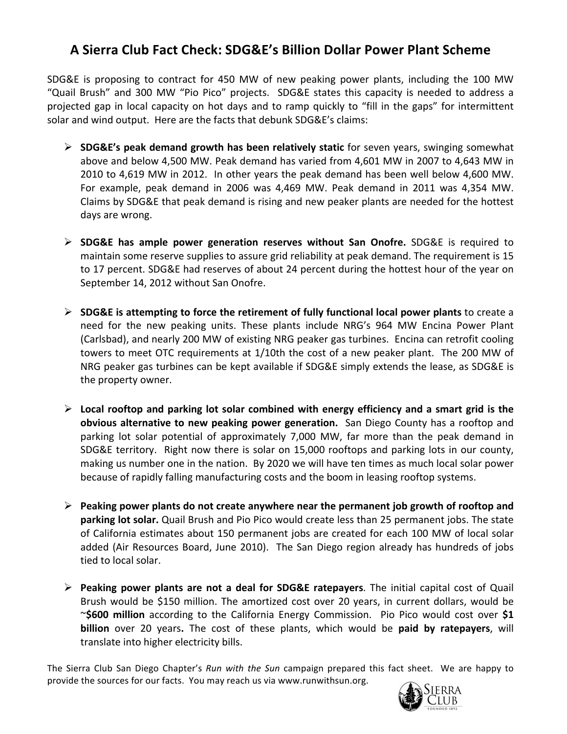## **A Sierra Club Fact Check: SDG&E's Billion Dollar Power Plant Scheme**

SDG&E is proposing to contract for 450 MW of new peaking power plants, including the 100 MW "Quail Brush" and 300 MW "Pio Pico" projects. SDG&E states this capacity is needed to address a projected gap in local capacity on hot days and to ramp quickly to "fill in the gaps" for intermittent solar and wind output. Here are the facts that debunk SDG&E's claims:

- **SDG&E's peak demand growth has been relatively static** for seven years, swinging somewhat above and below 4,500 MW. Peak demand has varied from 4,601 MW in 2007 to 4,643 MW in 2010 to 4,619 MW in 2012. In other years the peak demand has been well below 4,600 MW. For example, peak demand in 2006 was 4,469 MW. Peak demand in 2011 was 4,354 MW. Claims by SDG&E that peak demand is rising and new peaker plants are needed for the hottest days are wrong.
- **SDG&E has ample power generation reserves without San Onofre.** SDG&E is required to maintain some reserve supplies to assure grid reliability at peak demand. The requirement is 15 to 17 percent. SDG&E had reserves of about 24 percent during the hottest hour of the year on September 14, 2012 without San Onofre.
- **SDG&E is attempting to force the retirement of fully functional local power plants** to create a need for the new peaking units. These plants include NRG's 964 MW Encina Power Plant (Carlsbad), and nearly 200 MW of existing NRG peaker gas turbines. Encina can retrofit cooling towers to meet OTC requirements at 1/10th the cost of a new peaker plant. The 200 MW of NRG peaker gas turbines can be kept available if SDG&E simply extends the lease, as SDG&E is the property owner.
- **Local rooftop and parking lot solar combined with energy efficiency and a smart grid is the obvious alternative to new peaking power generation.** San Diego County has a rooftop and parking lot solar potential of approximately 7,000 MW, far more than the peak demand in SDG&E territory. Right now there is solar on 15,000 rooftops and parking lots in our county, making us number one in the nation. By 2020 we will have ten times as much local solar power because of rapidly falling manufacturing costs and the boom in leasing rooftop systems.
- **Peaking power plants do not create anywhere near the permanent job growth of rooftop and parking lot solar.** Quail Brush and Pio Pico would create less than 25 permanent jobs. The state of California estimates about 150 permanent jobs are created for each 100 MW of local solar added (Air Resources Board, June 2010). The San Diego region already has hundreds of jobs tied to local solar.
- **Peaking power plants are not a deal for SDG&E ratepayers**. The initial capital cost of Quail Brush would be \$150 million. The amortized cost over 20 years, in current dollars, would be ~**\$600 million** according to the California Energy Commission. Pio Pico would cost over **\$1 billion** over 20 years**.** The cost of these plants, which would be **paid by ratepayers**, will translate into higher electricity bills.

The Sierra Club San Diego Chapter's *Run with the Sun* campaign prepared this fact sheet. We are happy to provide the sources for our facts. You may reach us via www.runwithsun.org.